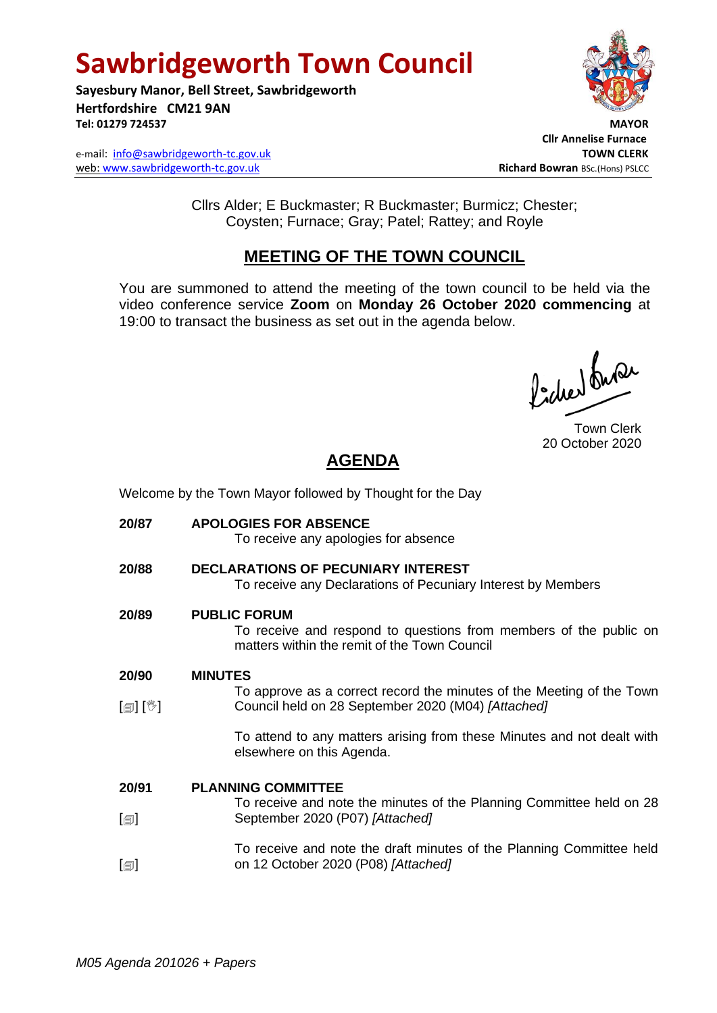# **Sawbridgeworth Town Council**

**Sayesbury Manor, Bell Street, Sawbridgeworth Hertfordshire CM21 9AN** Tel: 01279 724537

e-mail: [info@sawbridgeworth-tc.gov.uk](mailto:info@sawbridgeworth-tc.gov.uk) **TOWN CLERK** web: www.sawbridgeworth-tc.gov.uk **Richard Bowran** BSc.(Hons) PSLCC



 **Cllr Annelise Furnace**

Cllrs Alder; E Buckmaster; R Buckmaster; Burmicz; Chester; Coysten; Furnace; Gray; Patel; Rattey; and Royle

## **MEETING OF THE TOWN COUNCIL**

You are summoned to attend the meeting of the town council to be held via the video conference service **Zoom** on **Monday 26 October 2020 commencing** at 19:00 to transact the business as set out in the agenda below.

Picked buran

Town Clerk 20 October 2020

## **AGENDA**

Welcome by the Town Mayor followed by Thought for the Day

**20/87 APOLOGIES FOR ABSENCE** To receive any apologies for absence **20/88 DECLARATIONS OF PECUNIARY INTEREST** To receive any Declarations of Pecuniary Interest by Members **20/89 PUBLIC FORUM** To receive and respond to questions from members of the public on matters within the remit of the Town Council **20/90** [創] [<sup>%</sup>] **MINUTES** To approve as a correct record the minutes of the Meeting of the Town Council held on 28 September 2020 (M04) *[Attached]* To attend to any matters arising from these Minutes and not dealt with elsewhere on this Agenda. **20/91**  $\Box$  $\Box$ **PLANNING COMMITTEE** To receive and note the minutes of the Planning Committee held on 28 September 2020 (P07) *[Attached]* To receive and note the draft minutes of the Planning Committee held on 12 October 2020 (P08) *[Attached]*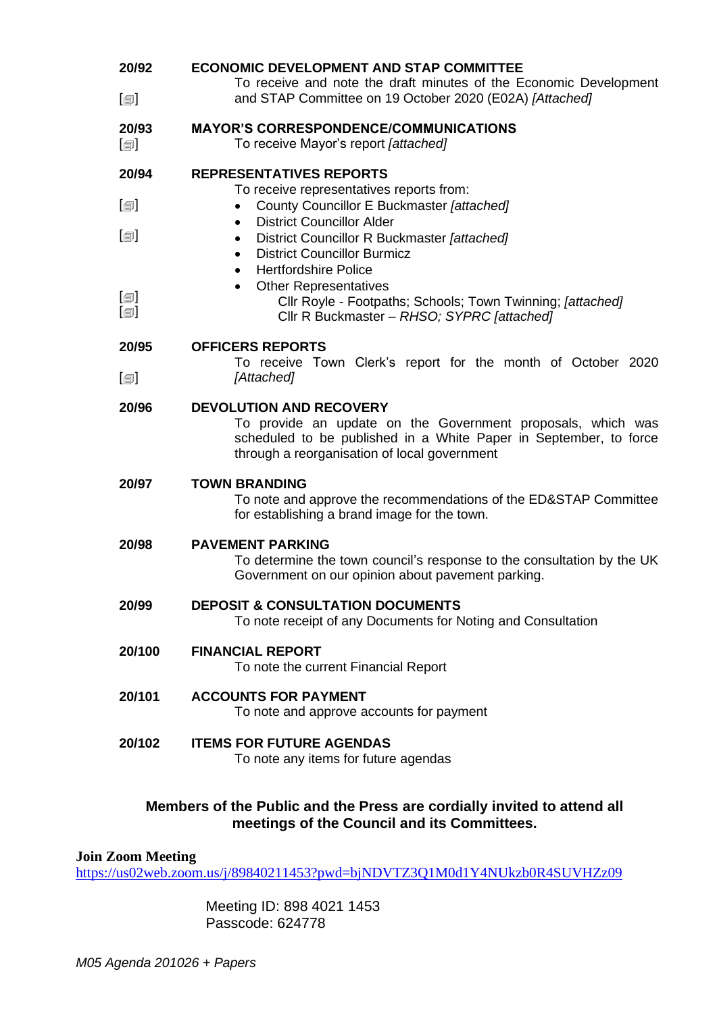| 20/92                                       | <b>ECONOMIC DEVELOPMENT AND STAP COMMITTEE</b>                                                                                                                                                                     |
|---------------------------------------------|--------------------------------------------------------------------------------------------------------------------------------------------------------------------------------------------------------------------|
| $[\blacksquare]$                            | To receive and note the draft minutes of the Economic Development<br>and STAP Committee on 19 October 2020 (E02A) [Attached]                                                                                       |
| 20/93<br>$\textsf{[} \textsf{1} \textsf{]}$ | <b>MAYOR'S CORRESPONDENCE/COMMUNICATIONS</b><br>To receive Mayor's report [attached]                                                                                                                               |
| 20/94                                       | <b>REPRESENTATIVES REPORTS</b><br>To receive representatives reports from:                                                                                                                                         |
| $\lbrack \oplus \rbrack$                    | County Councillor E Buckmaster [attached]<br>$\bullet$                                                                                                                                                             |
| $\lbrack \oplus \rbrack$                    | <b>District Councillor Alder</b><br>$\bullet$<br>District Councillor R Buckmaster [attached]<br>٠<br><b>District Councillor Burmicz</b><br>٠<br><b>Hertfordshire Police</b><br>$\bullet$                           |
| $\boxdot$<br>$\lbrack \oplus \rbrack$       | <b>Other Representatives</b><br>$\bullet$<br>Cllr Royle - Footpaths; Schools; Town Twinning; [attached]<br>Cllr R Buckmaster - RHSO; SYPRC [attached]                                                              |
| 20/95                                       | <b>OFFICERS REPORTS</b><br>To receive Town Clerk's report for the month of October 2020                                                                                                                            |
| $[\blacksquare]$                            | [Attached]                                                                                                                                                                                                         |
| 20/96                                       | <b>DEVOLUTION AND RECOVERY</b><br>To provide an update on the Government proposals, which was<br>scheduled to be published in a White Paper in September, to force<br>through a reorganisation of local government |
| 20/97                                       | <b>TOWN BRANDING</b><br>To note and approve the recommendations of the ED&STAP Committee<br>for establishing a brand image for the town.                                                                           |
| 20/98                                       | <b>PAVEMENT PARKING</b><br>To determine the town council's response to the consultation by the UK<br>Government on our opinion about pavement parking.                                                             |
| 20/99                                       | <b>DEPOSIT &amp; CONSULTATION DOCUMENTS</b><br>To note receipt of any Documents for Noting and Consultation                                                                                                        |
| 20/100                                      | <b>FINANCIAL REPORT</b><br>To note the current Financial Report                                                                                                                                                    |
| 20/101                                      | <b>ACCOUNTS FOR PAYMENT</b><br>To note and approve accounts for payment                                                                                                                                            |
| 20/102                                      | <b>ITEMS FOR FUTURE AGENDAS</b><br>To note any items for future agendas                                                                                                                                            |

## **Members of the Public and the Press are cordially invited to attend all meetings of the Council and its Committees.**

#### **Join Zoom Meeting**

<https://us02web.zoom.us/j/89840211453?pwd=bjNDVTZ3Q1M0d1Y4NUkzb0R4SUVHZz09>

Meeting ID: 898 4021 1453 Passcode: 624778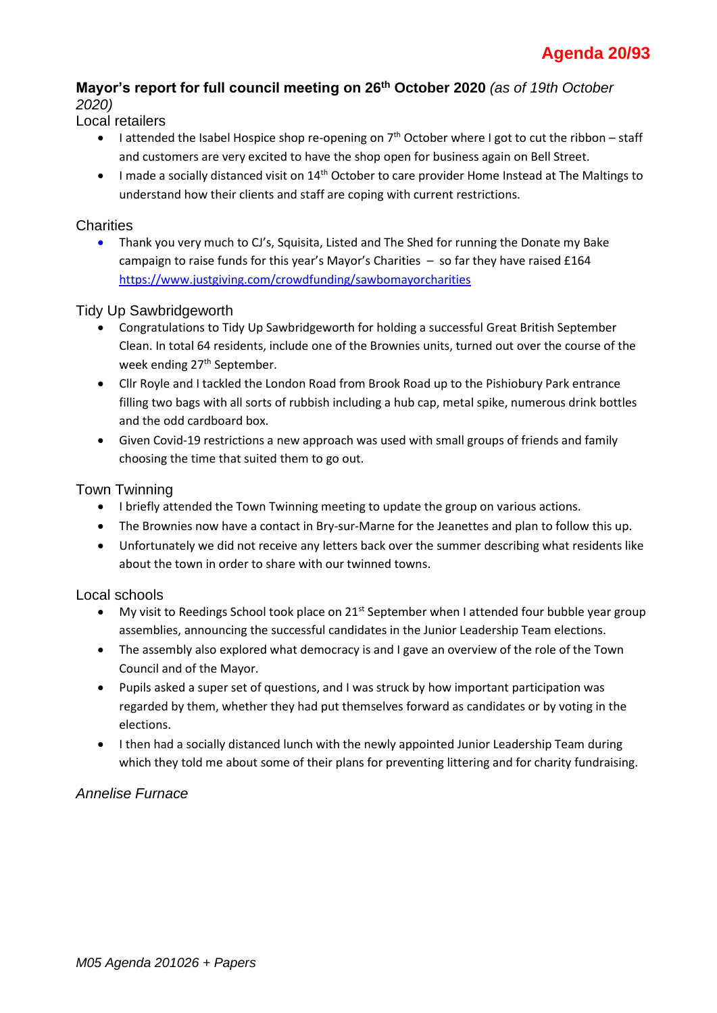## **Mayor's report for full council meeting on 26th October 2020** *(as of 19th October 2020)*

#### Local retailers

- I attended the Isabel Hospice shop re-opening on  $7<sup>th</sup>$  October where I got to cut the ribbon staff and customers are very excited to have the shop open for business again on Bell Street.
- I made a socially distanced visit on 14<sup>th</sup> October to care provider Home Instead at The Maltings to understand how their clients and staff are coping with current restrictions.

## **Charities**

• Thank you very much to CJ's, Squisita, Listed and The Shed for running the Donate my Bake campaign to raise funds for this year's Mayor's Charities – so far they have raised £164 <https://www.justgiving.com/crowdfunding/sawbomayorcharities>

## Tidy Up Sawbridgeworth

- Congratulations to Tidy Up Sawbridgeworth for holding a successful Great British September Clean. In total 64 residents, include one of the Brownies units, turned out over the course of the week ending 27<sup>th</sup> September.
- Cllr Royle and I tackled the London Road from Brook Road up to the Pishiobury Park entrance filling two bags with all sorts of rubbish including a hub cap, metal spike, numerous drink bottles and the odd cardboard box.
- Given Covid-19 restrictions a new approach was used with small groups of friends and family choosing the time that suited them to go out.

#### Town Twinning

- I briefly attended the Town Twinning meeting to update the group on various actions.
- The Brownies now have a contact in Bry-sur-Marne for the Jeanettes and plan to follow this up.
- Unfortunately we did not receive any letters back over the summer describing what residents like about the town in order to share with our twinned towns.

#### Local schools

- My visit to Reedings School took place on 21<sup>st</sup> September when I attended four bubble year group assemblies, announcing the successful candidates in the Junior Leadership Team elections.
- The assembly also explored what democracy is and I gave an overview of the role of the Town Council and of the Mayor.
- Pupils asked a super set of questions, and I was struck by how important participation was regarded by them, whether they had put themselves forward as candidates or by voting in the elections.
- I then had a socially distanced lunch with the newly appointed Junior Leadership Team during which they told me about some of their plans for preventing littering and for charity fundraising.

## *Annelise Furnace*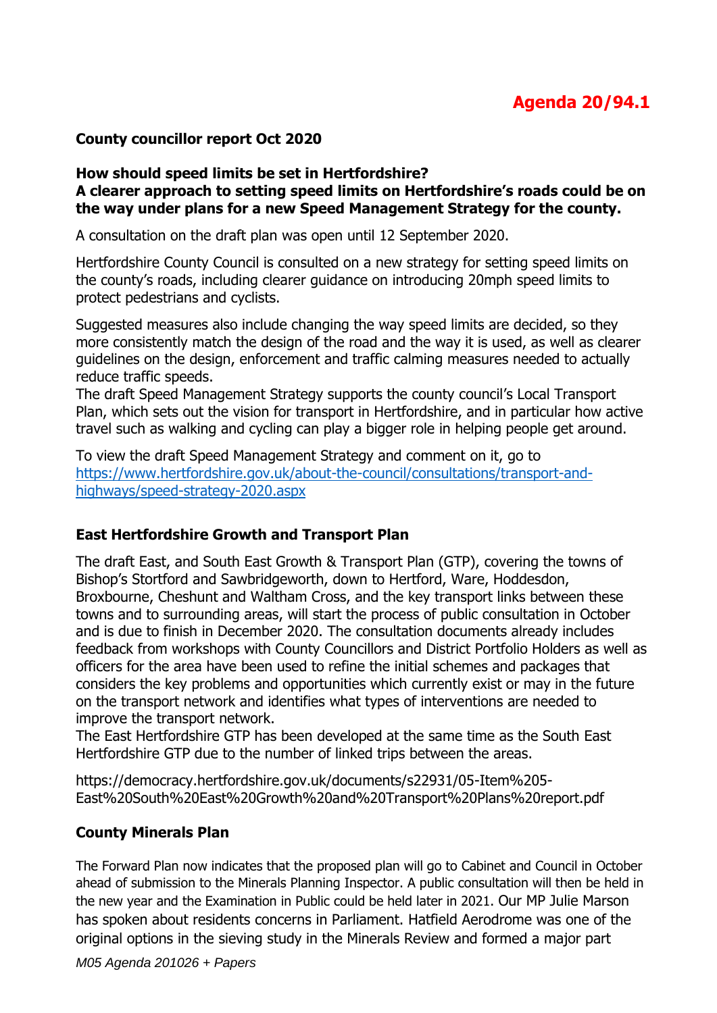## **County councillor report Oct 2020**

#### **How should speed limits be set in Hertfordshire? A clearer approach to setting speed limits on Hertfordshire's roads could be on the way under plans for a new Speed Management Strategy for the county.**

A consultation on the draft plan was open until 12 September 2020.

Hertfordshire County Council is consulted on a new strategy for setting speed limits on the county's roads, including clearer guidance on introducing 20mph speed limits to protect pedestrians and cyclists.

Suggested measures also include changing the way speed limits are decided, so they more consistently match the design of the road and the way it is used, as well as clearer guidelines on the design, enforcement and traffic calming measures needed to actually reduce traffic speeds.

The draft Speed Management Strategy supports the county council's Local Transport Plan, which sets out the vision for transport in Hertfordshire, and in particular how active travel such as walking and cycling can play a bigger role in helping people get around.

To view the draft Speed Management Strategy and comment on it, go to [https://www.hertfordshire.gov.uk/about-the-council/consultations/transport-and](http://track.vuelio.uk.com/z.z?l=aHR0cHM6Ly93d3cuaGVydGZvcmRzaGlyZS5nb3YudWsvYWJvdXQtdGhlLWNvdW5jaWwvY29uc3VsdGF0aW9ucy90cmFuc3BvcnQtYW5kLWhpZ2h3YXlzL3NwZWVkLXN0cmF0ZWd5LTIwMjAuYXNweA%3d%3d&r=12941822992&d=12194415&p=1&t=h&h=5bc5ddf8b60da7186cc62966ed37f8bd)[highways/speed-strategy-2020.aspx](http://track.vuelio.uk.com/z.z?l=aHR0cHM6Ly93d3cuaGVydGZvcmRzaGlyZS5nb3YudWsvYWJvdXQtdGhlLWNvdW5jaWwvY29uc3VsdGF0aW9ucy90cmFuc3BvcnQtYW5kLWhpZ2h3YXlzL3NwZWVkLXN0cmF0ZWd5LTIwMjAuYXNweA%3d%3d&r=12941822992&d=12194415&p=1&t=h&h=5bc5ddf8b60da7186cc62966ed37f8bd)

## **East Hertfordshire Growth and Transport Plan**

The draft East, and South East Growth & Transport Plan (GTP), covering the towns of Bishop's Stortford and Sawbridgeworth, down to Hertford, Ware, Hoddesdon, Broxbourne, Cheshunt and Waltham Cross, and the key transport links between these towns and to surrounding areas, will start the process of public consultation in October and is due to finish in December 2020. The consultation documents already includes feedback from workshops with County Councillors and District Portfolio Holders as well as officers for the area have been used to refine the initial schemes and packages that considers the key problems and opportunities which currently exist or may in the future on the transport network and identifies what types of interventions are needed to improve the transport network.

The East Hertfordshire GTP has been developed at the same time as the South East Hertfordshire GTP due to the number of linked trips between the areas.

https://democracy.hertfordshire.gov.uk/documents/s22931/05-Item%205- East%20South%20East%20Growth%20and%20Transport%20Plans%20report.pdf

## **County Minerals Plan**

The Forward Plan now indicates that the proposed plan will go to Cabinet and Council in October ahead of submission to the Minerals Planning Inspector. A public consultation will then be held in the new year and the Examination in Public could be held later in 2021. Our MP Julie Marson has spoken about residents concerns in Parliament. Hatfield Aerodrome was one of the original options in the sieving study in the Minerals Review and formed a major part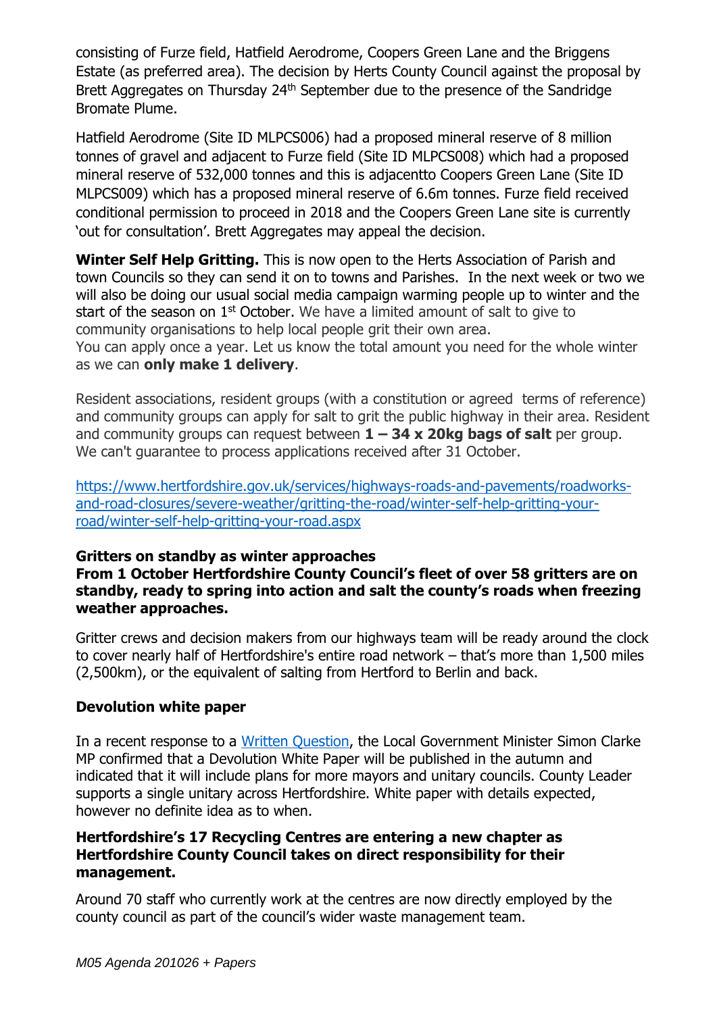consisting of Furze field, Hatfield Aerodrome, Coopers Green Lane and the Briggens Estate (as preferred area). The decision by Herts County Council against the proposal by Brett Aggregates on Thursday 24<sup>th</sup> September due to the presence of the Sandridge Bromate Plume.

Hatfield Aerodrome (Site ID MLPCS006) had a proposed mineral reserve of 8 million tonnes of gravel and adjacent to Furze field (Site ID MLPCS008) which had a proposed mineral reserve of 532,000 tonnes and this is adjacentto Coopers Green Lane (Site ID MLPCS009) which has a proposed mineral reserve of 6.6m tonnes. Furze field received conditional permission to proceed in 2018 and the Coopers Green Lane site is currently 'out for consultation'. Brett Aggregates may appeal the decision.

**Winter Self Help Gritting.** This is now open to the Herts Association of Parish and town Councils so they can send it on to towns and Parishes. In the next week or two we will also be doing our usual social media campaign warming people up to winter and the start of the season on 1<sup>st</sup> October. We have a limited amount of salt to give to community organisations to help local people grit their own area. You can apply once a year. Let us know the total amount you need for the whole winter

as we can **only make 1 delivery**.

Resident associations, resident groups (with a constitution or agreed terms of reference) and community groups can apply for salt to grit the public highway in their area. Resident and community groups can request between **1 – 34 x 20kg bags of salt** per group. We can't guarantee to process applications received after 31 October.

[https://www.hertfordshire.gov.uk/services/highways-roads-and-pavements/roadworks](https://www.hertfordshire.gov.uk/services/highways-roads-and-pavements/roadworks-and-road-closures/severe-weather/gritting-the-road/winter-self-help-gritting-your-road/winter-self-help-gritting-your-road.aspx)[and-road-closures/severe-weather/gritting-the-road/winter-self-help-gritting-your](https://www.hertfordshire.gov.uk/services/highways-roads-and-pavements/roadworks-and-road-closures/severe-weather/gritting-the-road/winter-self-help-gritting-your-road/winter-self-help-gritting-your-road.aspx)[road/winter-self-help-gritting-your-road.aspx](https://www.hertfordshire.gov.uk/services/highways-roads-and-pavements/roadworks-and-road-closures/severe-weather/gritting-the-road/winter-self-help-gritting-your-road/winter-self-help-gritting-your-road.aspx)

## **Gritters on standby as winter approaches**

**From 1 October Hertfordshire County Council's fleet of over 58 gritters are on standby, ready to spring into action and salt the county's roads when freezing weather approaches.** 

Gritter crews and decision makers from our highways team will be ready around the clock to cover nearly half of Hertfordshire's entire road network – that's more than 1,500 miles (2,500km), or the equivalent of salting from Hertford to Berlin and back.

## **Devolution white paper**

In a recent response to a [Written Question,](https://lnks.gd/l/eyJhbGciOiJIUzI1NiJ9.eyJidWxsZXRpbl9saW5rX2lkIjoxMTksInVyaSI6ImJwMjpjbGljayIsImJ1bGxldGluX2lkIjoiMjAyMDA3MDIuMjM4MTY1NzEiLCJ1cmwiOiJodHRwczovL3d3dy5wYXJsaWFtZW50LnVrL2J1c2luZXNzL3B1YmxpY2F0aW9ucy93cml0dGVuLXF1ZXN0aW9ucy1hbnN3ZXJzLXN0YXRlbWVudHMvd3JpdHRlbi1xdWVzdGlvbi9Db21tb25zLzIwMjAtMDYtMTkvNjE3NDEvIn0.Ik8QTAEDV6BnOw-k-Mqk0pfrhZ2MZxKLbvles5ppppY/s/721768132/br/80620152180-l) the Local Government Minister Simon Clarke MP confirmed that a Devolution White Paper will be published in the autumn and indicated that it will include plans for more mayors and unitary councils. County Leader supports a single unitary across Hertfordshire. White paper with details expected, however no definite idea as to when.

## **Hertfordshire's 17 Recycling Centres are entering a new chapter as Hertfordshire County Council takes on direct responsibility for their management.**

Around 70 staff who currently work at the centres are now directly employed by the county council as part of the council's wider waste management team.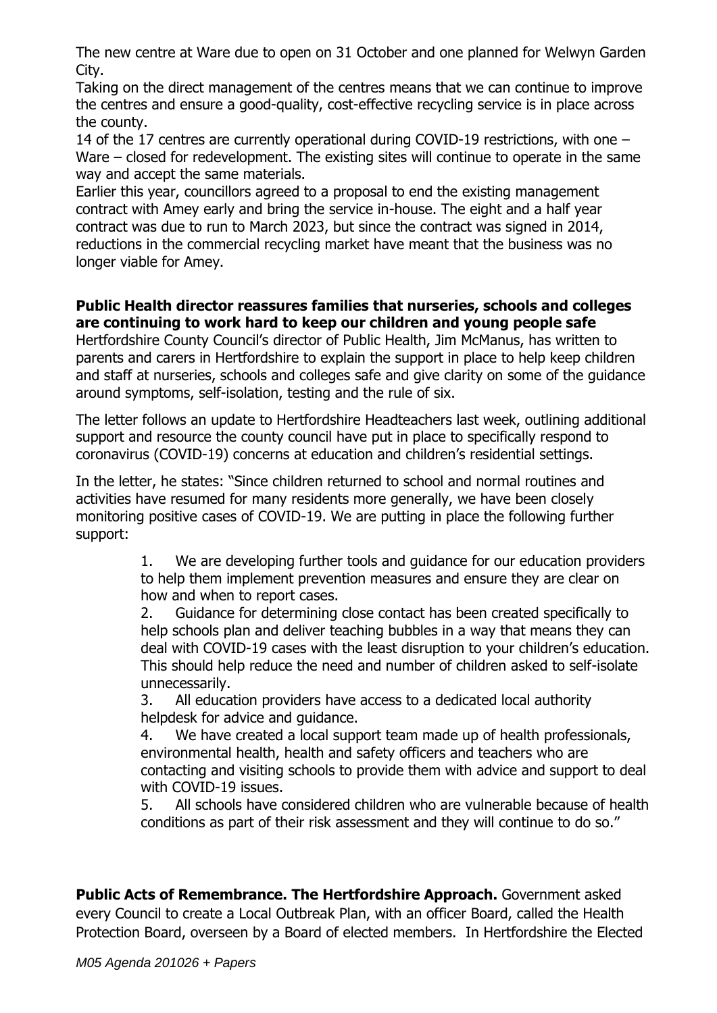The new centre at Ware due to open on 31 October and one planned for Welwyn Garden City.

Taking on the direct management of the centres means that we can continue to improve the centres and ensure a good-quality, cost-effective recycling service is in place across the county.

14 of the 17 centres are currently operational during COVID-19 restrictions, with one – Ware – closed for redevelopment. The existing sites will continue to operate in the same way and accept the same materials.

Earlier this year, councillors agreed to a proposal to end the existing management contract with Amey early and bring the service in-house. The eight and a half year contract was due to run to March 2023, but since the contract was signed in 2014, reductions in the commercial recycling market have meant that the business was no longer viable for Amey.

## **Public Health director reassures families that nurseries, schools and colleges are continuing to work hard to keep our children and young people safe**

Hertfordshire County Council's director of Public Health, Jim McManus, has written to parents and carers in Hertfordshire to explain the support in place to help keep children and staff at nurseries, schools and colleges safe and give clarity on some of the guidance around symptoms, self-isolation, testing and the rule of six.

The letter follows an update to Hertfordshire Headteachers last week, outlining additional support and resource the county council have put in place to specifically respond to coronavirus (COVID-19) concerns at education and children's residential settings.

In the letter, he states: "Since children returned to school and normal routines and activities have resumed for many residents more generally, we have been closely monitoring positive cases of COVID-19. We are putting in place the following further support:

> 1. We are developing further tools and guidance for our education providers to help them implement prevention measures and ensure they are clear on how and when to report cases.

> 2. Guidance for determining close contact has been created specifically to help schools plan and deliver teaching bubbles in a way that means they can deal with COVID-19 cases with the least disruption to your children's education. This should help reduce the need and number of children asked to self-isolate unnecessarily.

3. All education providers have access to a dedicated local authority helpdesk for advice and guidance.

4. We have created a local support team made up of health professionals, environmental health, health and safety officers and teachers who are contacting and visiting schools to provide them with advice and support to deal with COVID-19 issues.

5. All schools have considered children who are vulnerable because of health conditions as part of their risk assessment and they will continue to do so."

**Public Acts of Remembrance. The Hertfordshire Approach.** Government asked every Council to create a Local Outbreak Plan, with an officer Board, called the Health Protection Board, overseen by a Board of elected members. In Hertfordshire the Elected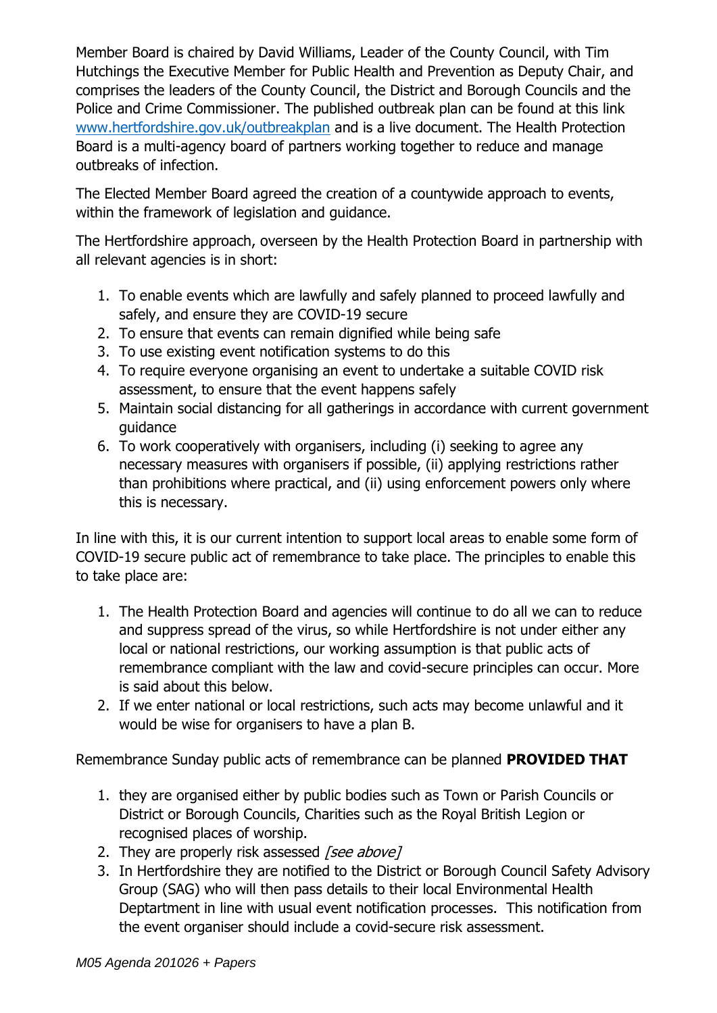Member Board is chaired by David Williams, Leader of the County Council, with Tim Hutchings the Executive Member for Public Health and Prevention as Deputy Chair, and comprises the leaders of the County Council, the District and Borough Councils and the Police and Crime Commissioner. The published outbreak plan can be found at this link [www.hertfordshire.gov.uk/outbreakplan](http://www.hertfordshire.gov.uk/outbreakplan) and is a live document. The Health Protection Board is a multi-agency board of partners working together to reduce and manage outbreaks of infection.

The Elected Member Board agreed the creation of a countywide approach to events, within the framework of legislation and guidance.

The Hertfordshire approach, overseen by the Health Protection Board in partnership with all relevant agencies is in short:

- 1. To enable events which are lawfully and safely planned to proceed lawfully and safely, and ensure they are COVID-19 secure
- 2. To ensure that events can remain dignified while being safe
- 3. To use existing event notification systems to do this
- 4. To require everyone organising an event to undertake a suitable COVID risk assessment, to ensure that the event happens safely
- 5. Maintain social distancing for all gatherings in accordance with current government guidance
- 6. To work cooperatively with organisers, including (i) seeking to agree any necessary measures with organisers if possible, (ii) applying restrictions rather than prohibitions where practical, and (ii) using enforcement powers only where this is necessary.

In line with this, it is our current intention to support local areas to enable some form of COVID-19 secure public act of remembrance to take place. The principles to enable this to take place are:

- 1. The Health Protection Board and agencies will continue to do all we can to reduce and suppress spread of the virus, so while Hertfordshire is not under either any local or national restrictions, our working assumption is that public acts of remembrance compliant with the law and covid-secure principles can occur. More is said about this below.
- 2. If we enter national or local restrictions, such acts may become unlawful and it would be wise for organisers to have a plan B.

Remembrance Sunday public acts of remembrance can be planned **PROVIDED THAT**

- 1. they are organised either by public bodies such as Town or Parish Councils or District or Borough Councils, Charities such as the Royal British Legion or recognised places of worship.
- 2. They are properly risk assessed [see above]
- 3. In Hertfordshire they are notified to the District or Borough Council Safety Advisory Group (SAG) who will then pass details to their local Environmental Health Deptartment in line with usual event notification processes. This notification from the event organiser should include a covid-secure risk assessment.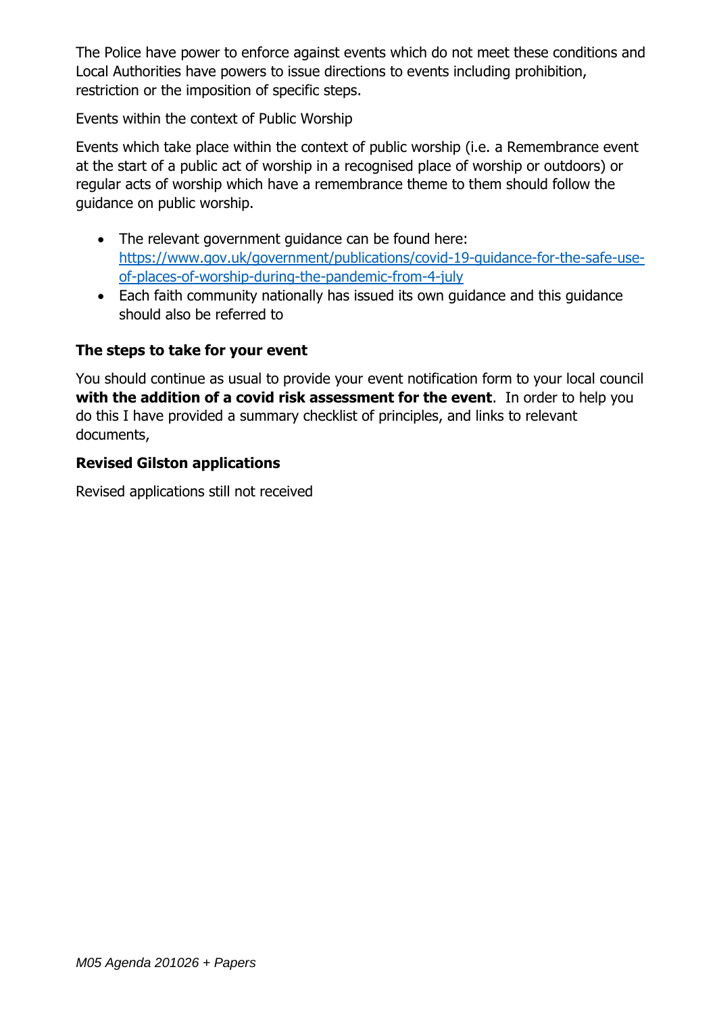The Police have power to enforce against events which do not meet these conditions and Local Authorities have powers to issue directions to events including prohibition, restriction or the imposition of specific steps.

Events within the context of Public Worship

Events which take place within the context of public worship (i.e. a Remembrance event at the start of a public act of worship in a recognised place of worship or outdoors) or regular acts of worship which have a remembrance theme to them should follow the guidance on public worship.

- The relevant government guidance can be found here: [https://www.gov.uk/government/publications/covid-19-guidance-for-the-safe-use](https://www.gov.uk/government/publications/covid-19-guidance-for-the-safe-use-of-places-of-worship-during-the-pandemic-from-4-july)[of-places-of-worship-during-the-pandemic-from-4-july](https://www.gov.uk/government/publications/covid-19-guidance-for-the-safe-use-of-places-of-worship-during-the-pandemic-from-4-july)
- Each faith community nationally has issued its own guidance and this guidance should also be referred to

## **The steps to take for your event**

You should continue as usual to provide your event notification form to your local council **with the addition of a covid risk assessment for the event**. In order to help you do this I have provided a summary checklist of principles, and links to relevant documents,

## **Revised Gilston applications**

Revised applications still not received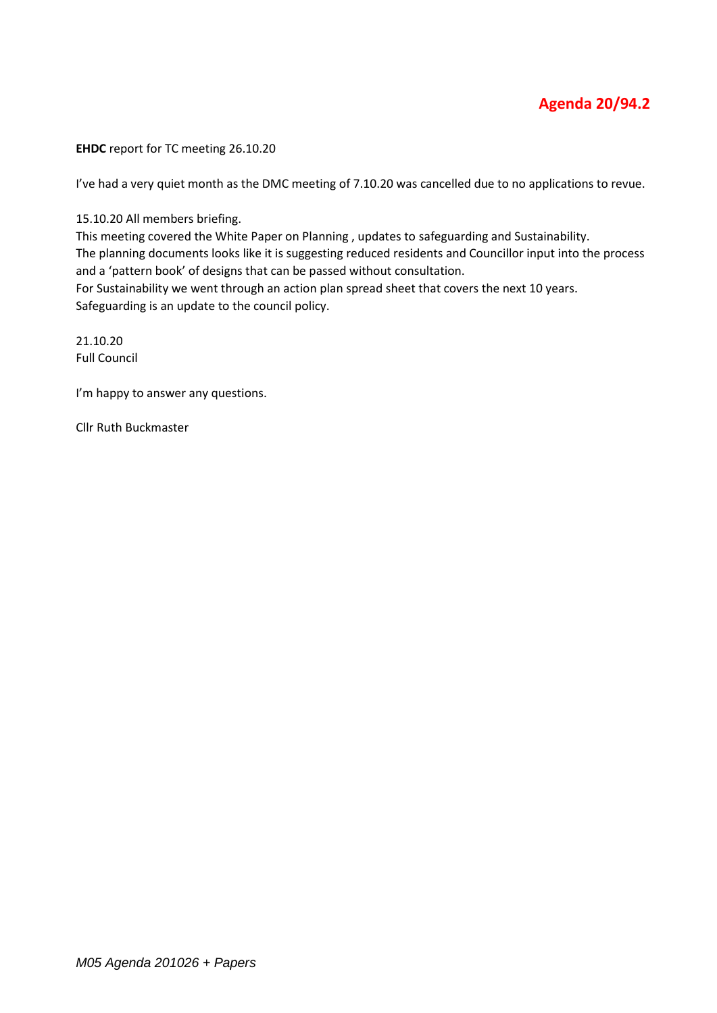## **Agenda 20/94.2**

**EHDC** report for TC meeting 26.10.20

I've had a very quiet month as the DMC meeting of 7.10.20 was cancelled due to no applications to revue.

15.10.20 All members briefing.

This meeting covered the White Paper on Planning , updates to safeguarding and Sustainability. The planning documents looks like it is suggesting reduced residents and Councillor input into the process and a 'pattern book' of designs that can be passed without consultation.

For Sustainability we went through an action plan spread sheet that covers the next 10 years. Safeguarding is an update to the council policy.

21.10.20 Full Council

I'm happy to answer any questions.

Cllr Ruth Buckmaster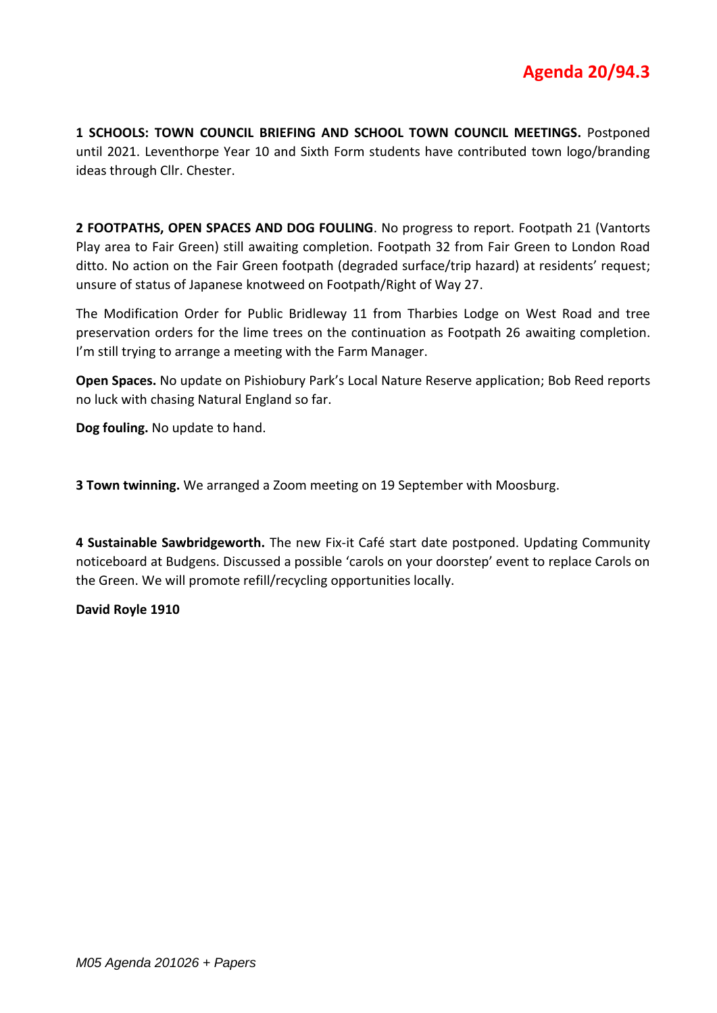**1 SCHOOLS: TOWN COUNCIL BRIEFING AND SCHOOL TOWN COUNCIL MEETINGS.** Postponed until 2021. Leventhorpe Year 10 and Sixth Form students have contributed town logo/branding ideas through Cllr. Chester.

**2 FOOTPATHS, OPEN SPACES AND DOG FOULING**. No progress to report. Footpath 21 (Vantorts Play area to Fair Green) still awaiting completion. Footpath 32 from Fair Green to London Road ditto. No action on the Fair Green footpath (degraded surface/trip hazard) at residents' request; unsure of status of Japanese knotweed on Footpath/Right of Way 27.

The Modification Order for Public Bridleway 11 from Tharbies Lodge on West Road and tree preservation orders for the lime trees on the continuation as Footpath 26 awaiting completion. I'm still trying to arrange a meeting with the Farm Manager.

**Open Spaces.** No update on Pishiobury Park's Local Nature Reserve application; Bob Reed reports no luck with chasing Natural England so far.

**Dog fouling.** No update to hand.

**3 Town twinning.** We arranged a Zoom meeting on 19 September with Moosburg.

**4 Sustainable Sawbridgeworth.** The new Fix-it Café start date postponed. Updating Community noticeboard at Budgens. Discussed a possible 'carols on your doorstep' event to replace Carols on the Green. We will promote refill/recycling opportunities locally.

**David Royle 1910**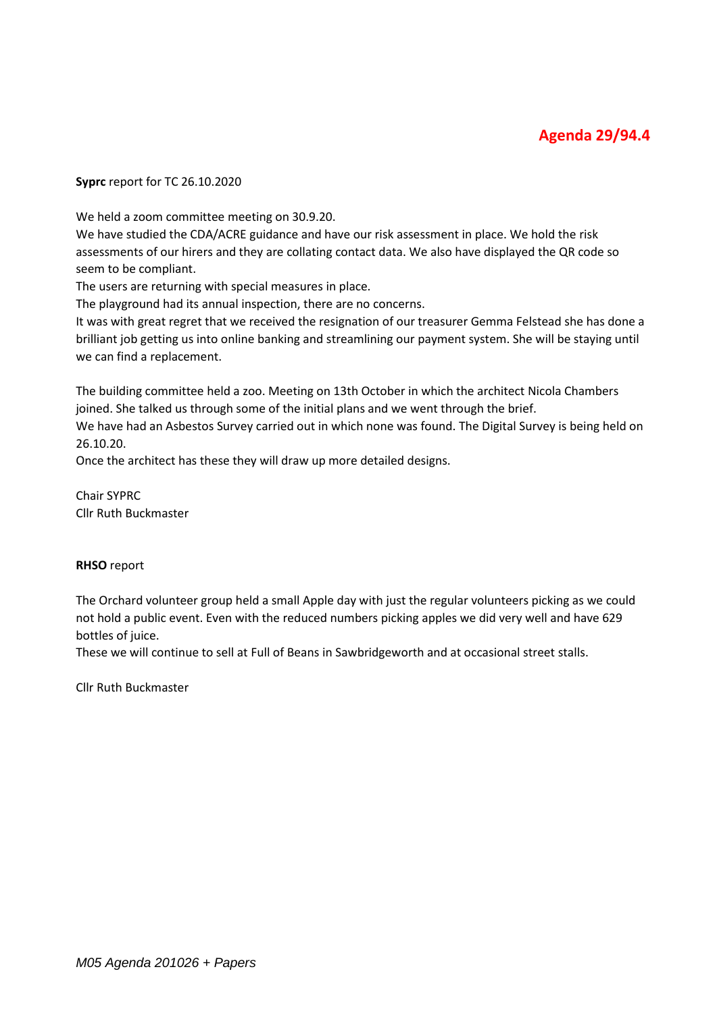**Syprc** report for TC 26.10.2020

We held a zoom committee meeting on 30.9.20.

We have studied the CDA/ACRE guidance and have our risk assessment in place. We hold the risk assessments of our hirers and they are collating contact data. We also have displayed the QR code so seem to be compliant.

The users are returning with special measures in place.

The playground had its annual inspection, there are no concerns.

It was with great regret that we received the resignation of our treasurer Gemma Felstead she has done a brilliant job getting us into online banking and streamlining our payment system. She will be staying until we can find a replacement.

The building committee held a zoo. Meeting on 13th October in which the architect Nicola Chambers joined. She talked us through some of the initial plans and we went through the brief. We have had an Asbestos Survey carried out in which none was found. The Digital Survey is being held on

Once the architect has these they will draw up more detailed designs.

Chair SYPRC Cllr Ruth Buckmaster

#### **RHSO** report

26.10.20.

The Orchard volunteer group held a small Apple day with just the regular volunteers picking as we could not hold a public event. Even with the reduced numbers picking apples we did very well and have 629 bottles of juice.

These we will continue to sell at Full of Beans in Sawbridgeworth and at occasional street stalls.

Cllr Ruth Buckmaster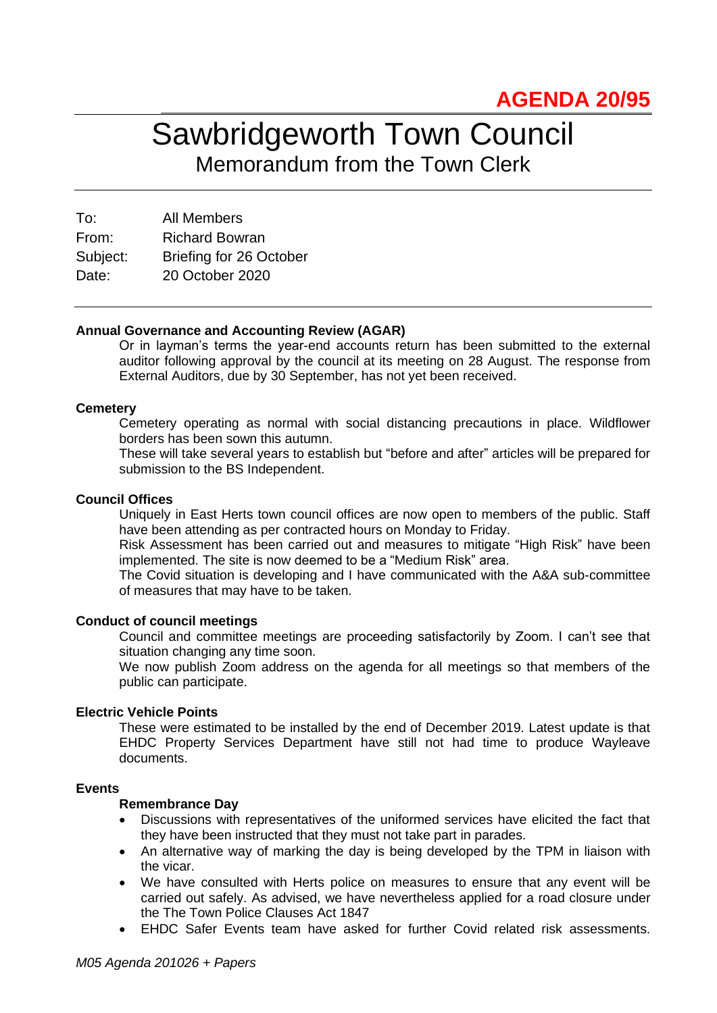## Sawbridgeworth Town Council Memorandum from the Town Clerk

To: All Members From: Richard Bowran Subject: Briefing for 26 October Date: 20 October 2020

#### **Annual Governance and Accounting Review (AGAR)**

Or in layman's terms the year-end accounts return has been submitted to the external auditor following approval by the council at its meeting on 28 August. The response from External Auditors, due by 30 September, has not yet been received.

#### **Cemetery**

Cemetery operating as normal with social distancing precautions in place. Wildflower borders has been sown this autumn.

These will take several years to establish but "before and after" articles will be prepared for submission to the BS Independent.

#### **Council Offices**

Uniquely in East Herts town council offices are now open to members of the public. Staff have been attending as per contracted hours on Monday to Friday.

Risk Assessment has been carried out and measures to mitigate "High Risk" have been implemented. The site is now deemed to be a "Medium Risk" area.

The Covid situation is developing and I have communicated with the A&A sub-committee of measures that may have to be taken.

#### **Conduct of council meetings**

Council and committee meetings are proceeding satisfactorily by Zoom. I can't see that situation changing any time soon.

We now publish Zoom address on the agenda for all meetings so that members of the public can participate.

#### **Electric Vehicle Points**

These were estimated to be installed by the end of December 2019. Latest update is that EHDC Property Services Department have still not had time to produce Wayleave documents.

#### **Events**

#### **Remembrance Day**

- Discussions with representatives of the uniformed services have elicited the fact that they have been instructed that they must not take part in parades.
- An alternative way of marking the day is being developed by the TPM in liaison with the vicar.
- We have consulted with Herts police on measures to ensure that any event will be carried out safely. As advised, we have nevertheless applied for a road closure under the The Town Police Clauses Act 1847
- EHDC Safer Events team have asked for further Covid related risk assessments.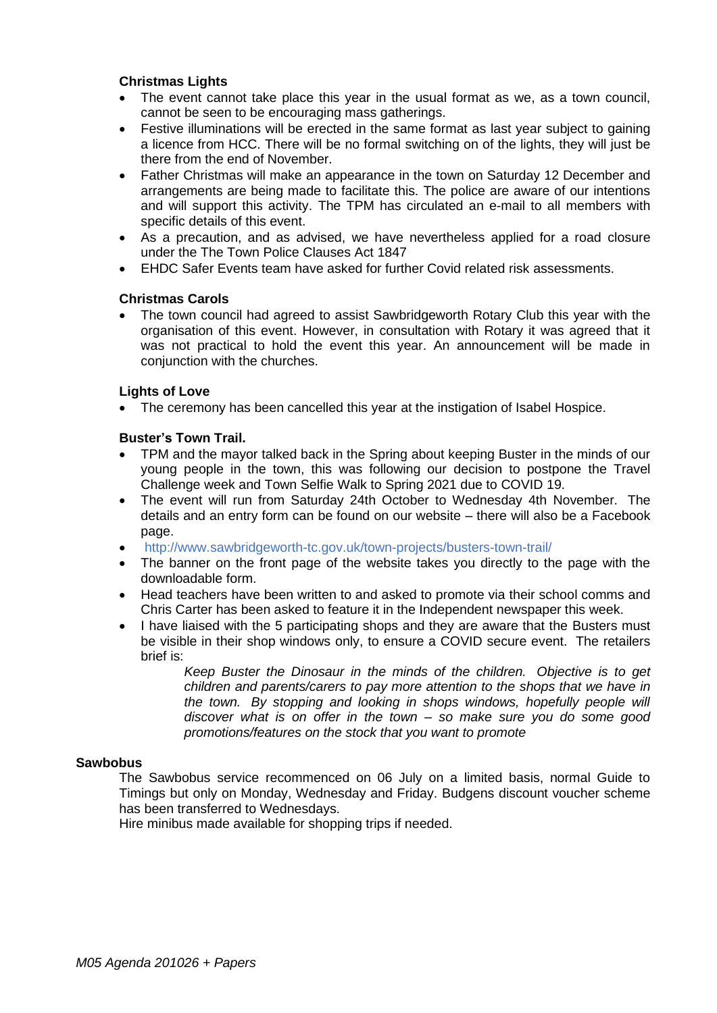#### **Christmas Lights**

- The event cannot take place this year in the usual format as we, as a town council, cannot be seen to be encouraging mass gatherings.
- Festive illuminations will be erected in the same format as last year subject to gaining a licence from HCC. There will be no formal switching on of the lights, they will just be there from the end of November.
- Father Christmas will make an appearance in the town on Saturday 12 December and arrangements are being made to facilitate this. The police are aware of our intentions and will support this activity. The TPM has circulated an e-mail to all members with specific details of this event.
- As a precaution, and as advised, we have nevertheless applied for a road closure under the The Town Police Clauses Act 1847
- EHDC Safer Events team have asked for further Covid related risk assessments.

#### **Christmas Carols**

• The town council had agreed to assist Sawbridgeworth Rotary Club this year with the organisation of this event. However, in consultation with Rotary it was agreed that it was not practical to hold the event this year. An announcement will be made in conjunction with the churches.

#### **Lights of Love**

• The ceremony has been cancelled this year at the instigation of Isabel Hospice.

#### **Buster's Town Trail.**

- TPM and the mayor talked back in the Spring about keeping Buster in the minds of our young people in the town, this was following our decision to postpone the Travel Challenge week and Town Selfie Walk to Spring 2021 due to COVID 19.
- The event will run from Saturday 24th October to Wednesday 4th November. The details and an entry form can be found on our website – there will also be a Facebook page.
- <http://www.sawbridgeworth-tc.gov.uk/town-projects/busters-town-trail/>
- The banner on the front page of the website takes you directly to the page with the downloadable form.
- Head teachers have been written to and asked to promote via their school comms and Chris Carter has been asked to feature it in the Independent newspaper this week.
- I have liaised with the 5 participating shops and they are aware that the Busters must be visible in their shop windows only, to ensure a COVID secure event. The retailers brief is:

*Keep Buster the Dinosaur in the minds of the children. Objective is to get children and parents/carers to pay more attention to the shops that we have in the town. By stopping and looking in shops windows, hopefully people will discover what is on offer in the town – so make sure you do some good promotions/features on the stock that you want to promote*

#### **Sawbobus**

The Sawbobus service recommenced on 06 July on a limited basis, normal Guide to Timings but only on Monday, Wednesday and Friday. Budgens discount voucher scheme has been transferred to Wednesdays.

Hire minibus made available for shopping trips if needed.